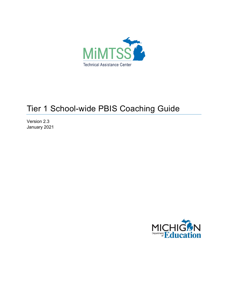

# Tier 1 School-wide PBIS Coaching Guide

Version 2.3 January 2021

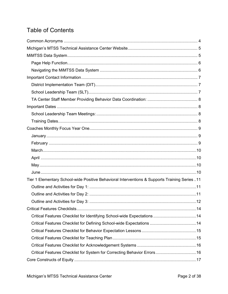# **Table of Contents**

| Tier 1 Elementary School-wide Positive Behavioral Interventions & Supports Training Series11 |  |
|----------------------------------------------------------------------------------------------|--|
|                                                                                              |  |
|                                                                                              |  |
|                                                                                              |  |
|                                                                                              |  |
|                                                                                              |  |
|                                                                                              |  |
|                                                                                              |  |
|                                                                                              |  |
|                                                                                              |  |
|                                                                                              |  |
|                                                                                              |  |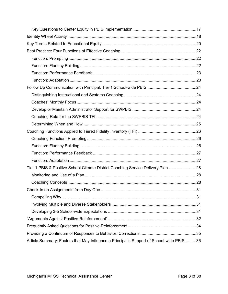| Tier 1 PBIS & Positive School Climate District Coaching Service Delivery Plan 28        |  |
|-----------------------------------------------------------------------------------------|--|
|                                                                                         |  |
|                                                                                         |  |
|                                                                                         |  |
|                                                                                         |  |
|                                                                                         |  |
|                                                                                         |  |
|                                                                                         |  |
|                                                                                         |  |
|                                                                                         |  |
| Article Summary: Factors that May Influence a Principal's Support of School-wide PBIS36 |  |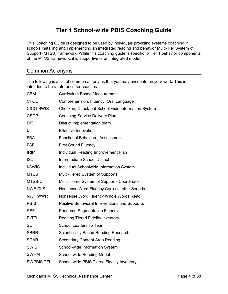## **Tier 1 School-wide PBIS Coaching Guide**

This Coaching Guide is designed to be used by individuals providing systems coaching in schools installing and implementing an integrated reading and behavior Multi-Tier System of Support (MTSS) framework. While this coaching guide is specific to Tier 1 behavior components of the MTSS framework, it is supportive of an integrated model.

### <span id="page-3-0"></span>Common Acronyms

The following is a list of common acronyms that you may encounter in your work. This is intended to be a reference for coaches.

| <b>CBM</b>        | <b>Curriculum Based Measurement</b>                |
|-------------------|----------------------------------------------------|
| <b>CFOL</b>       | Comprehension, Fluency, Oral Language              |
| CICO-SWIS         | Check-in, Check-out School-wide Information System |
| <b>CSDP</b>       | <b>Coaching Service Delivery Plan</b>              |
| <b>DIT</b>        | District Implementation team                       |
| ΕI                | <b>Effective Innovation</b>                        |
| <b>FBA</b>        | <b>Functional Behavioral Assessment</b>            |
| <b>FSF</b>        | <b>First Sound Fluency</b>                         |
| <b>IRIP</b>       | Individual Reading Improvement Plan                |
| <b>ISD</b>        | <b>Intermediate School District</b>                |
| I-SWIS            | Individual Schoolwide Information System           |
| <b>MTSS</b>       | Multi-Tiered System of Supports                    |
| MTSS-C            | Multi-Tiered System of Supports Coordinator        |
| <b>NWF CLS</b>    | Nonsense Word Fluency Correct Letter Sounds        |
| NWF WWR           | Nonsense Word Fluency Whole Words Read             |
| <b>PBIS</b>       | Positive Behavioral Interventions and Supports     |
| <b>PSF</b>        | <b>Phoneme Segmentation Fluency</b>                |
| R-TFI             | <b>Reading Tiered Fidelity Inventory</b>           |
| <b>SLT</b>        | School Leadership Team                             |
| <b>SBRR</b>       | <b>Scientifically Based Reading Research</b>       |
| <b>SCAR</b>       | <b>Secondary Content Area Reading</b>              |
| <b>SWIS</b>       | School-wide Information System                     |
| <b>SWRM</b>       | School-wide Reading Model                          |
| <b>SWPBIS TFI</b> | School-wide PBIS Tiered Fidelity Inventory         |
|                   |                                                    |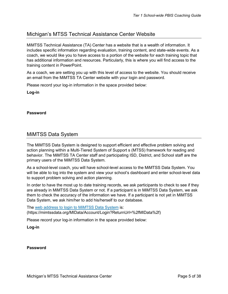### <span id="page-4-0"></span>Michigan's MTSS Technical Assistance Center Website

MiMTSS Technical Assistance (TA) Center has a website that is a wealth of information. It includes specific information regarding evaluation, training content, and state-wide events. As a coach, we would like you to have access to a portion of the website for each training topic that has additional information and resources. Particularly, this is where you will find access to the training content in PowerPoint.

As a coach, we are setting you up with this level of access to the website. You should receive an email from the MiMTSS TA Center website with your login and password.

Please record your log-in information in the space provided below:

**Log-in**

#### **Password**

### <span id="page-4-1"></span>MiMTSS Data System

The MiMTSS Data System is designed to support efficient and effective problem solving and action planning within a Multi-Tiered System of Support s (MTSS) framework for reading and behavior. The MiMTSS TA Center staff and participating ISD, District, and School staff are the primary users of the MiMTSS Data System.

As a school-level coach, you will have school-level access to the MiMTSS Data System. You will be able to log into the system and view your school's dashboard and enter school-level data to support problem solving and action planning.

In order to have the most up to date training records, we ask participants to check to see if they are already in MiMTSS Data System or not. If a participant is in MiMTSS Data System, we ask them to check the accuracy of the information we have. If a participant is not yet in MiMTSS Data System, we ask him/her to add his/herself to our database.

The [web address to login to MiMTSS](https://mimtssdata.org/MIData/Account/Login?ReturnUrl=%2fMIData%2f) Data System is: (https://mimtssdata.org/MIData/Account/Login?ReturnUrl=%2fMIData%2f)

Please record your log-in information in the space provided below:

**Log-in**

#### **Password**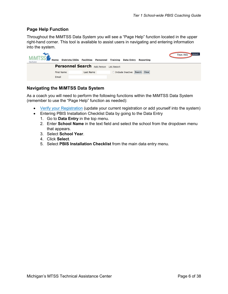### <span id="page-5-0"></span>**Page Help Function**

Throughout the MiMTSS Data System you will see a "Page Help" function located in the upper right-hand corner. This tool is available to assist users in navigating and entering information into the system.

| <b>MIMTSS</b><br><b>Districts/ISDs</b><br>Home<br>Data System | <b>Facilities</b><br><b>Personnel</b><br><b>Training</b><br><b>Data Entry</b><br>Reporting | Account<br>Page Help |
|---------------------------------------------------------------|--------------------------------------------------------------------------------------------|----------------------|
|                                                               | <b>Personnel Search Add Person</b><br><b>List Report</b>                                   |                      |
| <b>First Name</b>                                             | Clear<br>$\Box$ Include Inactive<br>Search<br>Last Name                                    |                      |
| Email                                                         |                                                                                            |                      |

#### <span id="page-5-1"></span>**Navigating the MiMTSS Data System**

As a coach you will need to perform the following functions within the MiMTSS Data System (remember to use the "Page Help" function as needed):

- [Verify your Registration](https://mimtssdata.org/MIData/registration?part=1) (update your current registration or add yourself into the system)
- Entering PBIS Installation Checklist Data by going to the Data Entry
	- 1. Go to **Data Entry** in the top menu.
	- 2. Enter **School Name** in the text field and select the school from the dropdown menu that appears.
	- 3. Select **School Year**.
	- 4. Click **Select**.
	- 5. Select **PBIS Installation Checklist** from the main data entry menu.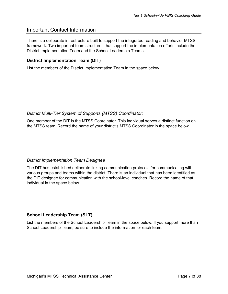### <span id="page-6-0"></span>Important Contact Information

There is a deliberate infrastructure built to support the integrated reading and behavior MTSS framework. Two important team structures that support the implementation efforts include the District Implementation Team and the School Leadership Teams.

### <span id="page-6-1"></span>**District Implementation Team (DIT)**

List the members of the District Implementation Team in the space below.

#### *District Multi-Tier System of Supports (MTSS) Coordinator:*

One member of the DIT is the MTSS Coordinator. This individual serves a distinct function on the MTSS team. Record the name of your district's MTSS Coordinator in the space below.

### *District Implementation Team Designee*

The DIT has established deliberate linking communication protocols for communicating with various groups and teams within the district. There is an individual that has been identified as the DIT designee for communication with the school-level coaches. Record the name of that individual in the space below.

### <span id="page-6-2"></span>**School Leadership Team (SLT)**

List the members of the School Leadership Team in the space below. If you support more than School Leadership Team, be sure to include the information for each team.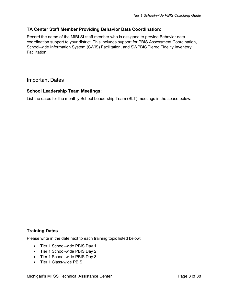### <span id="page-7-0"></span>**TA Center Staff Member Providing Behavior Data Coordination:**

Record the name of the MIBLSI staff member who is assigned to provide Behavior data coordination support to your district. This includes support for PBIS Assessment Coordination, School-wide Information System (SWIS) Facilitation, and SWPBIS Tiered Fidelity Inventory Facilitation.

### <span id="page-7-1"></span>Important Dates

### <span id="page-7-2"></span>**School Leadership Team Meetings:**

List the dates for the monthly School Leadership Team (SLT) meetings in the space below.

### <span id="page-7-3"></span>**Training Dates**

Please write in the date next to each training topic listed below:

- Tier 1 School-wide PBIS Day 1
- Tier 1 School-wide PBIS Day 2
- Tier 1 School-wide PBIS Day 3
- Tier 1 Class-wide PBIS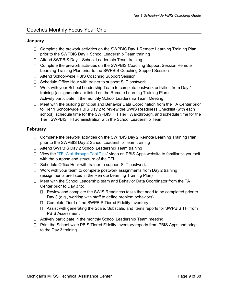### <span id="page-8-1"></span><span id="page-8-0"></span>**January**

- □ Complete the prework activities on the SWPBIS Day 1 Remote Learning Training Plan prior to the SWPBIS Day 1 School Leadership Team training
- □ Attend SWPBIS Day 1 School Leadership Team training
- □ Complete the prework activities on the SWPBIS Coaching Support Session Remote Learning Training Plan prior to the SWPBIS Coaching Support Session
- □ Attend School-wide PBIS Coaching Support Session
- □ Schedule Office Hour with trainer to support SLT postwork
- □ Work with your School Leadership Team to complete postwork activities from Day 1 training (assignments are listed on the Remote Learning Training Plan)
- $\Box$  Actively participate in the monthly School Leadership Team Meeting
- $\Box$  Meet with the building principal and Behavior Data Coordination from the TA Center prior to Tier 1 School-wide PBIS Day 2 to review the SWIS Readiness Checklist (with each school), schedule time for the SWPBIS TFI Tier I Walkthrough, and schedule time for the Tier I SWPBIS TFI administration with the School Leadership Team

### <span id="page-8-2"></span>**February**

- $\Box$  Complete the prework activities on the SWPBIS Day 2 Remote Learning Training Plan prior to the SWPBIS Day 2 School Leadership Team training
- □ Attend SWPBIS Day 2 School Leadership Team training
- $\Box$  View the ["TFI Walkthrough Tool Tips"](https://www.pbisapps.org/resource/tfi-walkthrough-tool-tips) video on PBIS Apps website to familiarize yourself with the purpose and structure of the TFI
- $\Box$  Schedule Office Hour with trainer to support SLT postwork
- $\Box$  Work with your team to complete postwork assignments from Day 2 training (assignments are listed in the Remote Learning Training Plan)
- $\Box$  Meet with the School Leadership team and Behavior Data Coordinator from the TA Center prior to Day 3 to:
	- $\Box$  Review and complete the SWIS Readiness tasks that need to be completed prior to Day 3 (e.g., working with staff to define problem behaviors)
	- □ Complete Tier I of the SWPBIS Tiered Fidelity Inventory
	- $\Box$  Assist with generating the Scale, Subscale, and Items reports for SWPBIS TFI from PBIS Assessment
- $\Box$  Actively participate in the monthly School Leadership Team meeting
- <span id="page-8-3"></span> $\Box$  Print the School-wide PBIS Tiered Fidelity Inventory reports from PBIS Apps and bring to the Day 3 training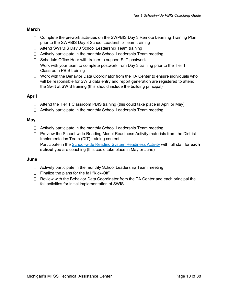### **March**

- $\Box$  Complete the prework activities on the SWPBIS Day 3 Remote Learning Training Plan prior to the SWPBIS Day 3 School Leadership Team training
- □ Attend SWPBIS Day 3 School Leadership Team training
- $\Box$  Actively participate in the monthly School Leadership Team meeting
- $\Box$  Schedule Office Hour with trainer to support SLT postwork
- $\Box$  Work with your team to complete postwork from Day 3 training prior to the Tier 1 Classroom PBIS training
- $\Box$  Work with the Behavior Data Coordinator from the TA Center to ensure individuals who will be responsible for SWIS data entry and report generation are registered to attend the Swift at SWIS training (this should include the building principal)

### <span id="page-9-0"></span>**April**

- $\Box$  Attend the Tier 1 Classroom PBIS training (this could take place in April or May)
- □ Actively participate in the monthly School Leadership Team meeting

### <span id="page-9-1"></span>**May**

- $\Box$  Actively participate in the monthly School Leadership Team meeting
- $\Box$  Preview the School-wide Reading Model Readiness Activity materials from the District Implementation Team (DIT) training content
- Participate in the [School-wide Reading System Readiness Activity](https://mimtsstac.org/training-materials/integrated-mtss/school-wide-reading-systems-readiness) with full staff for **each school** you are coaching (this could take place in May or June)

### <span id="page-9-2"></span>**June**

- $\Box$  Actively participate in the monthly School Leadership Team meeting
- $\Box$  Finalize the plans for the fall "Kick-Off"
- □ Review with the Behavior Data Coordinator from the TA Center and each principal the fall activities for initial implementation of SWIS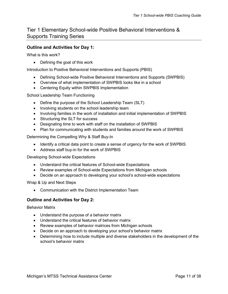### <span id="page-10-0"></span>Tier 1 Elementary School-wide Positive Behavioral Interventions & Supports Training Series

### <span id="page-10-1"></span>**Outline and Activities for Day 1:**

What is this work?

• Defining the goal of this work

Introduction to Positive Behavioral Interventions and Supports (PBIS)

- Defining School-wide Positive Behavioral Interventions and Supports (SWPBIS)
- Overview of what implementation of SWPBIS looks like in a school
- Centering Equity within SWPBIS Implementation

School Leadership Team Functioning

- Define the purpose of the School Leadership Team (SLT)
- Involving students on the school leadership team
- Involving families in the work of installation and initial implementation of SWPBIS
- Structuring the SLT for success
- Designating time to work with staff on the installation of SWPBIS
- Plan for communicating with students and families around the work of SWPBIS

Determining the Compelling Why & Staff Buy-In

- Identify a critical data point to create a sense of urgency for the work of SWPBIS
- Address staff buy-in for the work of SWPBIS

Developing School-wide Expectations

- Understand the critical features of School-wide Expectations
- Review examples of School-wide Expectations from Michigan schools
- Decide on an approach to developing your school's school-wide expectations

Wrap & Up and Next Steps

• Communication with the District Implementation Team

### <span id="page-10-2"></span>**Outline and Activities for Day 2:**

Behavior Matrix

- Understand the purpose of a behavior matrix
- Understand the critical features of behavior matrix
- Review examples of behavior matrices from Michigan schools
- Decide on an approach to developing your school's behavior matrix
- Determining how to include multiple and diverse stakeholders in the development of the school's behavior matrix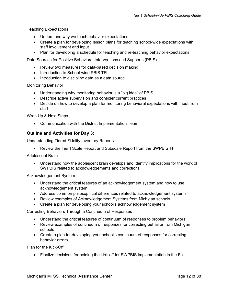Teaching Expectations

- Understand why we teach behavior expectations
- Create a plan for developing lesson plans for teaching school-wide expectations with staff involvement and input
- Plan for developing a schedule for teaching and re-teaching behavior expectations

Data Sources for Positive Behavioral Interventions and Supports (PBIS)

- Review two measures for data-based decision making
- Introduction to School-wide PBIS TFI
- Introduction to discipline data as a data source

Monitoring Behavior

- Understanding why monitoring behavior is a "big idea" of PBIS
- Describe active supervision and consider current practices
- Decide on how to develop a plan for monitoring behavioral expectations with input from staff

Wrap Up & Next Steps

• Communication with the District Implementation Team

### <span id="page-11-0"></span>**Outline and Activities for Day 3:**

Understanding Tiered Fidelity Inventory Reports

• Review the Tier I Scale Report and Subscale Report from the SWPBIS TFI

Adolescent Brain

• Understand how the adolescent brain develops and identify implications for the work of SWPBIS related to acknowledgements and corrections

#### Acknowledgement System

- Understand the critical features of an acknowledgement system and how to use acknowledgement system
- Address common philosophical differences related to acknowledgement systems
- Review examples of Acknowledgement Systems from Michigan schools
- Create a plan for developing your school's acknowledgement system

Correcting Behaviors Through a Continuum of Responses

- Understand the critical features of continuum of responses to problem behaviors
- Review examples of continuum of responses for correcting behavior from Michigan schools
- Create a plan for developing your school's continuum of responses for correcting behavior errors

Plan for the Kick-Off

• Finalize decisions for holding the kick-off for SWPBIS implementation in the Fall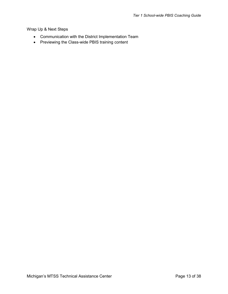### Wrap Up & Next Steps

- Communication with the District Implementation Team
- Previewing the Class-wide PBIS training content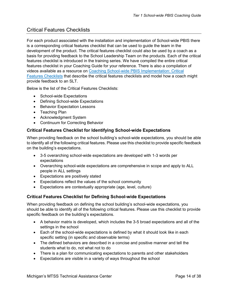### <span id="page-13-0"></span>Critical Features Checklists

For each product associated with the installation and implementation of School-wide PBIS there is a corresponding critical features checklist that can be used to guide the team in the development of the product. The critical features checklist could also be used by a coach as a basis for providing feedback to the School Leadership Team on the products. Each of the critical features checklist is introduced in the training series. We have compiled the entire critical features checklist in your Coaching Guide for your reference. There is also a compilation of videos available as a resource on [Coaching School-wide PBIS Implementation: Critical](https://www.youtube.com/playlist?list=PLagiviFhnZbB5pwIxn6Jo-oR-XbnZllRE)  [Features Checklists](https://www.youtube.com/playlist?list=PLagiviFhnZbB5pwIxn6Jo-oR-XbnZllRE) that describe the critical features checklists and model how a coach might provide feedback to an SLT.

Below is the list of the Critical Features Checklists:

- School-wide Expectations
- Defining School-wide Expectations
- Behavior Expectation Lessons
- Teaching Plan
- Acknowledgment System
- Continuum for Correcting Behavior

### <span id="page-13-1"></span>**Critical Features Checklist for Identifying School-wide Expectations**

When providing feedback on the school building's school-wide expectations, you should be able to identify all of the following critical features. Please use this checklist to provide specific feedback on the building's expectations.

- 3-5 overarching school-wide expectations are developed with 1-3 words per expectations
- Overarching school-wide expectations are comprehensive in scope and apply to ALL people in ALL settings
- Expectations are positively stated
- Expectations reflect the values of the school community
- Expectations are contextually appropriate (age, level, culture)

### <span id="page-13-2"></span>**Critical Features Checklist for Defining School-wide Expectations**

When providing feedback on defining the school building's school-wide expectations, you should be able to identify all of the following critical features. Please use this checklist to provide specific feedback on the building's expectations.

- A behavior matrix is developed, which includes the 3-5 broad expectations and all of the settings in the school
- Each of the school-wide expectations is defined by what it should look like in each specific setting (in specific and observable terms)
- The defined behaviors are described in a concise and positive manner and tell the students what to do, not what not to do
- There is a plan for communicating expectations to parents and other stakeholders
- Expectations are visible in a variety of ways throughout the school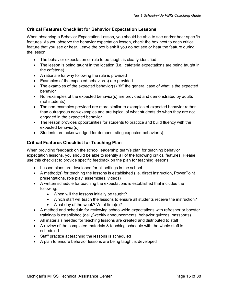### <span id="page-14-0"></span>**Critical Features Checklist for Behavior Expectation Lessons**

When observing a Behavior Expectation Lesson, you should be able to see and/or hear specific features. As you observe the behavior expectation lesson, check the box next to each critical feature that you see or hear. Leave the box blank if you do not see or hear the feature during the lesson.

- The behavior expectation or rule to be taught is clearly identified
- The lesson is being taught in the location (i.e., cafeteria expectations are being taught in the cafeteria)
- A rationale for why following the rule is provided
- Examples of the expected behavior(s) are provided
- The examples of the expected behavior(s) "fit" the general case of what is the expected behavior
- Non-examples of the expected behavior(s) are provided and demonstrated by adults (not students)
- The non-examples provided are more similar to examples of expected behavior rather than outrageous non-examples and are typical of what students do when they are not engaged in the expected behavior
- The lesson provides opportunities for students to practice and build fluency with the expected behavior(s)
- Students are acknowledged for demonstrating expected behavior(s)

### <span id="page-14-1"></span>**Critical Features Checklist for Teaching Plan**

When providing feedback on the school leadership team's plan for teaching behavior expectation lessons, you should be able to identify all of the following critical features. Please use this checklist to provide specific feedback on the plan for teaching lessons.

- Lesson plans are developed for all settings in the school
- A method(s) for teaching the lessons is established (i.e. direct instruction, PowerPoint presentations, role play, assemblies, videos)
- A written schedule for teaching the expectations is established that includes the following:
	- When will the lessons initially be taught?
	- Which staff will teach the lessons to ensure all students receive the instruction?
	- What day of the week? What time(s)?
- A method and schedule for reviewing school-wide expectations with refresher or booster trainings is established (daily/weekly announcements, behavior quizzes, passports)
- All materials needed for teaching lessons are created and distributed to staff
- A review of the completed materials & teaching schedule with the whole staff is scheduled
- Staff practice at teaching the lessons is scheduled
- A plan to ensure behavior lessons are being taught is developed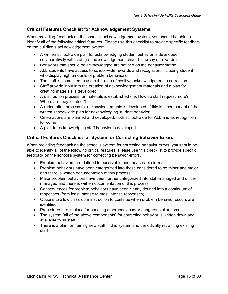### <span id="page-15-0"></span>**Critical Features Checklist for Acknowledgement Systems**

When providing feedback on the school's acknowledgement system, you should be able to identify all of the following critical features. Please use this checklist to provide specific feedback on the building's acknowledgement system.

- A written school-wide plan for acknowledging student behavior is developed collaboratively with staff (i.e. acknowledgement chart, hierarchy of rewards)
- Behaviors that should be acknowledged are defined on the behavior matrix
- ALL students have access to school-wide rewards and recognition, including student who display high amounts of problem behaviors
- The staff is committed to use a 4:1 ratio of positive acknowledgment to correction
- Staff provide input into the creation of acknowledgement materials and a plan for creating materials is developed
- A distribution process for materials is established (i.e. How do staff request more? Where are they located?)
- A redemption process for acknowledgements is developed, if this is a component of the written school-wide plan for acknowledging student behavior
- Celebrations are planned and developed, both school-wide for ALL and as recognition for some
- A plan for acknowledging staff behavior is developed

### <span id="page-15-1"></span>**Critical Features Checklist for System for Correcting Behavior Errors**

When providing feedback on the school's system for correcting behavior errors, you should be able to identify all of the following critical features. Please use this checklist to provide specific feedback on the school's system for correcting behavior errors.

- Problem behaviors are defined in observable and measurable terms
- Problem behaviors have been categorized into those considered to be minor and major and there is written documentation of this process
- Major problem behaviors have been further categorized into staff-managed and officemanaged and there is written documentation of this process
- Consequences for problem behaviors have been clearly defined into a continuum of responses (from least intense to most intense responses)
- Options to allow classroom instruction to continue when problem behavior occurs are identified
- Procedures are in place for handling emergency and/or dangerous situations
- The system (all of the above components) for correcting behavior is written down and available to all staff
- There is a plan for training new staff in this system and periodically retraining existing staff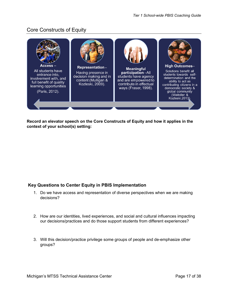### <span id="page-16-0"></span>Core Constructs of Equity



**Record an elevator speech on the Core Constructs of Equity and how it applies in the context of your school(s) setting:** 

### <span id="page-16-1"></span>**Key Questions to Center Equity in PBIS Implementation**

- 1. Do we have access and representation of diverse perspectives when we are making decisions?
- 2. How are our identities, lived experiences, and social and cultural influences impacting our decisions/practices and do those support students from different experiences?
- 3. Will this decision/practice privilege some groups of people and de-emphasize other groups?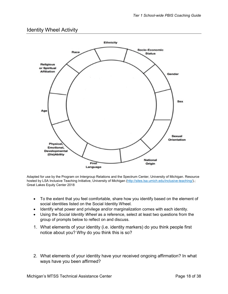### <span id="page-17-0"></span>Identity Wheel Activity



Adapted for use by the Program on Intergroup Relations and the Spectrum Center, University of Michigan. Resource hosted by LSA Inclusive Teaching Initiative, University of Michigan [\(http://sites.lsa.umich.edu/inclusive-teaching/\)](http://sites.lsa.umich.edu/inclusive-teaching/).; Great Lakes Equity Center 2018

- To the extent that you feel comfortable, share how you identify based on the element of social identities listed on the Social Identity Wheel.
- Identify what power and privilege and/or marginalization comes with each identity.
- Using the So*cial Identity Wheel* as a reference, select at least two questions from the group of prompts below to reflect on and discuss.
- 1. What elements of your identity (i.e. identity markers) do you think people first notice about you? Why do you think this is so?
- 2. What elements of your identity have your received ongoing affirmation? In what ways have you been affirmed?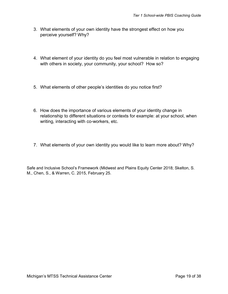- 3. What elements of your own identity have the strongest effect on how you perceive yourself? Why?
- 4. What element of your identity do you feel most vulnerable in relation to engaging with others in society, your community, your school? How so?
- 5. What elements of other people's identities do you notice first?
- 6. How does the importance of various elements of your identity change in relationship to different situations or contexts for example: at your school, when writing, interacting with co-workers, etc.
- 7. What elements of your own identity you would like to learn more about? Why?

Safe and Inclusive School's Framework (Midwest and Plains Equity Center 2018; Skelton, S. M., Chen, S., & Warren, C. 2015, February 25.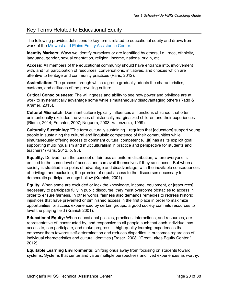### <span id="page-19-0"></span>Key Terms Related to Educational Equity

The following provides definitions to key terms related to educational equity and draws from work of the [Midwest and Plains Equity Assistance Center.](https://greatlakesequity.org/)

**Identity Markers:** Ways we identify ourselves or are identified by others, i.e., race, ethnicity, language, gender, sexual orientation, religion, income, national origin, etc.

**Access:** All members of the educational community should have entrance into, involvement with, and full participation of resources, conversations, initiatives, and choices which are attentive to heritage and community practices (Paris, 2012).

**Assimilation:** The process through which a group gradually adopts the characteristics, customs, and attitudes of the prevailing culture.

**Critical Consciousness:** The willingness and ability to see how power and privilege are at work to systematically advantage some while simultaneously disadvantaging others (Radd & Kramer, 2013).

**Cultural Mismatch:** Dominant culture typically influences all functions of school that often unintentionally excludes the voices of historically marginalized children and their experiences (Riddle, 2014; Fruchter, 2007; Noguera, 2003; Valenzuela, 1999).

**Culturally Sustaining:** "The term culturally sustaining…requires that [educators] support young people in sustaining the cultural and linguistic competence of their communities while simultaneously offering access to dominant cultural competence…[it] has as its explicit goal supporting multilingualism and multiculturalism in practice and perspective for students and teachers" (Paris, 2012, p. 95).

**Equality:** Derived from the concept of fairness as uniform distribution, where everyone is entitled to the same level of access and can avail themselves if they so choose. But when a society is stratified into poles of advantage and disadvantage, with the inevitable consequences of privilege and exclusion, the promise of equal access to the discourses necessary for democratic participation rings hollow (Kranich, 2001).

**Equity:** When some are excluded or lack the knowledge, income, equipment, or [resources] necessary to participate fully in public discourse, they must overcome obstacles to access in order to ensure fairness. In other words, fairness also demands remedies to redress historic injustices that have prevented or diminished access in the first place in order to maximize opportunities for access experienced by certain groups, a good society commits resources to level the playing field (Kranich 2001).

**Educational Equity:** When educational policies, practices, interactions, and resources, are representative of, constructed by, and responsive to all people such that each individual has access to, can participate, and make progress in high-quality learning experiences that empower them towards self-determination and reduces disparities in outcomes regardless of individual characteristics and cultural identities (Fraser, 2008; "Great Lakes Equity Center," 2012).

**Equitable Learning Environments:** Shifting onus away from focusing on students toward systems. Systems that center and value multiple perspectives and lived experiences as worthy.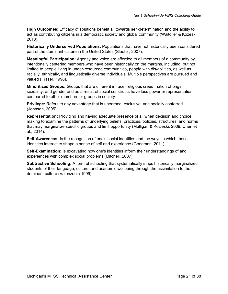**High Outcomes:** Efficacy of solutions benefit all towards self-determination and the ability to act as contributing citizens in a democratic society and global community (Waitoller & Kozeski, 2013).

**Historically Underserved Populations:** Populations that have not historically been considered part of the dominant culture in the United States (Sleeter, 2007).

**Meaningful Participation:** Agency and voice are afforded to all members of a community by intentionally centering members who have been historically on the margins, including, but not limited to people living in under-resourced communities, people with dis/abilities, as well as racially, ethnically, and linguistically diverse individuals. Multiple perspectives are pursued and valued (Fraser, 1998).

**Minoritized Groups:** Groups that are different in race, religious creed, nation of origin, sexuality, and gender and as a result of social constructs have less power or representation compared to other members or groups in society.

**Privilege:** Refers to any advantage that is unearned, exclusive, and socially conferred (Johnson, 2005).

**Representation:** Providing and having adequate presence of all when decision and choice making to examine the patterns of underlying beliefs, practices, policies, structures, and norms that may marginalize specific groups and limit opportunity (Mulligan & Kozleski, 2009; Chen et al., 2014).

**Self-Awareness:** Is the recognition of one's social identities and the ways in which those identities interact to shape a sense of self and experience (Goodman, 2011).

**Self-Examination:** Is excavating how one's identities inform their understandings of and experiences with complex social problems (Mitchell, 2007).

**Subtractive Schooling:** A form of schooling that systematically strips historically marginalized students of their language, culture, and academic wellbeing through the assimilation to the dominant culture (Valenzuela 1999).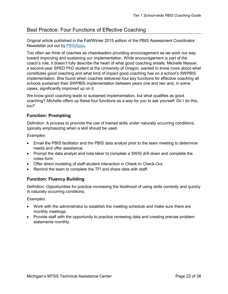### <span id="page-21-0"></span>Best Practice: Four Functions of Effective Coaching

Original article published in the Fall/Winter 2015 edition of the PBIS Assessment Coordinator Newsletter put out by [PBISApps.](http://pbisapps.org/)

Too often we think of coaches as cheerleaders providing encouragement as we work our way toward improving and sustaining our implementation. While encouragement is part of the coach's role, it doesn't fully describe the heart of what good coaching entails. Michelle Massar, a second-year SPED PhD student at the University of Oregon, wanted to know more about what constitutes good coaching and what kind of impact good coaching has on a school's SWPBIS implementation. She found when coaches delivered four key functions for effective coaching all schools sustained their SWPBIS implementation between years one and two and, in some cases, significantly improved up on it.

We know good coaching leads to sustained implementation, but what qualifies as good coaching? Michelle offers up these four functions as a way for you to ask yourself: Do I do this, too?

#### <span id="page-21-1"></span>**Function: Prompting**

*Definition:* A process to promote the use of trained skills under naturally occurring conditions, typically emphasizing when a skill should be used.

*Examples:*

- Email the PBIS facilitator and the PBIS data analyst prior to the team meeting to determine needs and offer assistance.
- Prompt the data analyst and note-taker to complete a SWIS drill down and complete the notes form.
- Offer direct modeling of staff-student interaction in Check-In Check-Out.
- Remind the team to complete the TFI and share data with staff.

### <span id="page-21-2"></span>**Function: Fluency Building**

*Definition:* Opportunities for practice increasing the likelihood of using skills correctly and quickly in naturally occurring conditions.

#### *Examples:*

- Work with the administrator to establish the meeting schedule and make sure there are monthly meetings.
- <span id="page-21-3"></span>• Provide staff with the opportunity to practice reviewing data and creating precise problem statements monthly.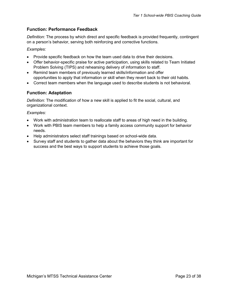### **Function: Performance Feedback**

*Definition:* The process by which direct and specific feedback is provided frequently, contingent on a person's behavior, serving both reinforcing and corrective functions.

*Examples:*

- Provide specific feedback on how the team used data to drive their decisions.
- Offer behavior-specific praise for active participation, using skills related to Team Initiated Problem Solving (TIPS) and rehearsing delivery of information to staff.
- Remind team members of previously learned skills/information and offer opportunities to apply that information or skill when they revert back to their old habits.
- Correct team members when the language used to describe students is not behavioral.

### <span id="page-22-0"></span>**Function: Adaptation**

*Definition:* The modification of how a new skill is applied to fit the social, cultural, and organizational context.

*Examples:*

- Work with administration team to reallocate staff to areas of high need in the building.
- Work with PBIS team members to help a family access community support for behavior needs.
- Help administrators select staff trainings based on school-wide data.
- Survey staff and students to gather data about the behaviors they think are important for success and the best ways to support students to achieve those goals.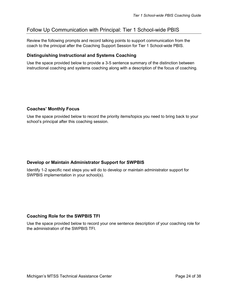### <span id="page-23-0"></span>Follow Up Communication with Principal: Tier 1 School-wide PBIS

Review the following prompts and record talking points to support communication from the coach to the principal after the Coaching Support Session for Tier 1 School-wide PBIS.

### <span id="page-23-1"></span>**Distinguishing Instructional and Systems Coaching**

Use the space provided below to provide a 3-5 sentence summary of the distinction between instructional coaching and systems coaching along with a description of the focus of coaching.

### <span id="page-23-2"></span>**Coaches' Monthly Focus**

Use the space provided below to record the priority items/topics you need to bring back to your school's principal after this coaching session.

### <span id="page-23-3"></span>**Develop or Maintain Administrator Support for SWPBIS**

Identify 1-2 specific next steps you will do to develop or maintain administrator support for SWPBIS implementation in your school(s).

### <span id="page-23-4"></span>**Coaching Role for the SWPBIS TFI**

Use the space provided below to record your one sentence description of your coaching role for the administration of the SWPBIS TFI.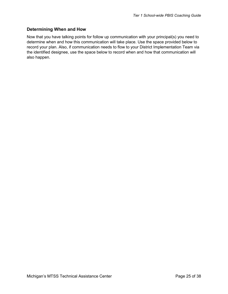### <span id="page-24-0"></span>**Determining When and How**

Now that you have talking points for follow up communication with your principal(s) you need to determine when and how this communication will take place. Use the space provided below to record your plan. Also, if communication needs to flow to your District Implementation Team via the identified designee, use the space below to record when and how that communication will also happen.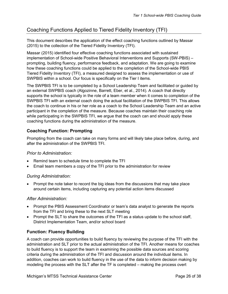### <span id="page-25-0"></span>Coaching Functions Applied to Tiered Fidelity Inventory (TFI)

This document describes the application of the effect coaching functions outlined by Massar (2015) to the collection of the Tiered Fidelity Inventory (TFI).

Massar (2015) identified four effective coaching functions associated with sustained implementation of School-wide Positive Behavioral Interventions and Supports (SW-PBIS) – prompting, building fluency, performance feedback, and adaptation. We are going to examine how these coaching functions could be applied to the completion of the School-wide PBIS Tiered Fidelity Inventory (TFI), a measured designed to assess the implementation or use of SWPBIS within a school. Our focus is specifically on the Tier I items.

The SWPBIS TFI is to be completed by a School Leadership Team and facilitated or guided by an external SWPBIS coach (Algozinne, Barrett, Eber, et al., 2014). A coach that directly supports the school is typically in the role of a team member when it comes to completion of the SWPBIS TFI with an external coach doing the actual facilitation of the SWPBIS TFI. This allows the coach to continue in his or her role as a coach to the School Leadership Team and an active participant in the completion of the measure. Because coaches maintain their coaching role while participating in the SWPBIS TFI, we argue that the coach can and should apply these coaching functions during the administration of the measure.

### <span id="page-25-1"></span>**Coaching Function: Prompting**

Prompting from the coach can take on many forms and will likely take place before, during, and after the administration of the SWPBIS TFI.

### *Prior to Administration:*

- Remind team to schedule time to complete the TFI
- Email team members a copy of the TFI prior to the administration for review

### *During Administration:*

• Prompt the note taker to record the big ideas from the discussions that may take place around certain items, including capturing any potential action items discussed

### *After Administration:*

- Prompt the PBIS Assessment Coordinator or team's data analyst to generate the reports from the TFI and bring these to the next SLT meeting
- Prompt the SLT to share the outcomes of the TFI as a status update to the school staff, District Implementation Team, and/or school board

### <span id="page-25-2"></span>**Function: Fluency Building**

A coach can provide opportunities to build fluency by reviewing the purpose of the TFI with the administration and SLT prior to the actual administration of the TFI. Another means for coaches to build fluency is to support the team in examining the possible data sources and scoring criteria during the administration of the TFI and discussion around the individual items. In addition, coaches can work to build fluency in the use of the data to inform decision making by modeling the process with the SLT after the TF is completed – making the process overt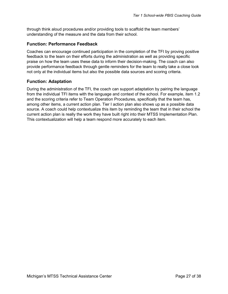through think aloud procedures and/or providing tools to scaffold the team members' understanding of the measure and the data from their school.

### <span id="page-26-0"></span>**Function: Performance Feedback**

Coaches can encourage continued participation in the completion of the TFI by proving positive feedback to the team on their efforts during the administration as well as providing specific praise on how the team uses these data to inform their decision-making. The coach can also provide performance feedback through gentle reminders for the team to really take a close look not only at the individual items but also the possible data sources and scoring criteria.

### <span id="page-26-1"></span>**Function: Adaptation**

During the administration of the TFI, the coach can support adaptation by pairing the language from the individual TFI items with the language and context of the school. For example, item 1.2 and the scoring criteria refer to Team Operation Procedures, specifically that the team has, among other items, a current action plan. Tier I action plan also shows up as a possible data source. A coach could help contextualize this item by reminding the team that in their school the current action plan is really the work they have built right into their MTSS Implementation Plan. This contextualization will help a team respond more accurately to each item.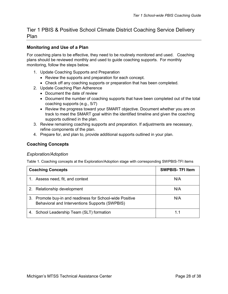### <span id="page-27-0"></span>Tier 1 PBIS & Positive School Climate District Coaching Service Delivery Plan

### <span id="page-27-1"></span>**Monitoring and Use of a Plan**

For coaching plans to be effective, they need to be routinely monitored and used. Coaching plans should be reviewed monthly and used to guide coaching supports. For monthly monitoring, follow the steps below.

- 1. Update Coaching Supports and Preparation
	- Review the supports and preparation for each concept.
	- Check off any coaching supports or preparation that has been completed.
- 2. Update Coaching Plan Adherence
	- Document the date of review
	- Document the number of coaching supports that have been completed out of the total coaching supports (e.g., 5/7)
	- Review the progress toward your SMART objective. Document whether you are on track to meet the SMART goal within the identified timeline and given the coaching supports outlined in the plan.
- 3. Review remaining coaching supports and preparation. If adjustments are necessary, refine components of the plan.
- 4. Prepare for, and plan to, provide additional supports outlined in your plan.

### <span id="page-27-2"></span>**Coaching Concepts**

#### *Exploration/Adoption*

Table 1. Coaching concepts at the Exploration/Adoption stage with corresponding SWPBIS-TFI items

| <b>Coaching Concepts</b> |                                                                                                            | <b>SWPBIS-TFI Item</b> |
|--------------------------|------------------------------------------------------------------------------------------------------------|------------------------|
|                          | 1. Assess need, fit, and context                                                                           | N/A                    |
|                          | 2. Relationship development                                                                                | N/A                    |
|                          | 3. Promote buy-in and readiness for School-wide Positive<br>Behavioral and Interventions Supports (SWPBIS) | N/A                    |
|                          | 4. School Leadership Team (SLT) formation                                                                  |                        |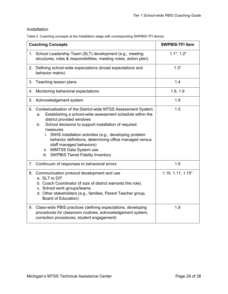### *Installation*

Table 2. Coaching concepts at the Installation stage with corresponding SWPBIS-TFI item(s)

| <b>Coaching Concepts</b>                                                                                                                                                                                                                                                                                                                                                                                                                                                        | <b>SWPBIS-TFI Item</b> |
|---------------------------------------------------------------------------------------------------------------------------------------------------------------------------------------------------------------------------------------------------------------------------------------------------------------------------------------------------------------------------------------------------------------------------------------------------------------------------------|------------------------|
| 1. School Leadership Team (SLT) development (e.g., meeting<br>structures, roles & responsibilities, meeting notes, action plan)                                                                                                                                                                                                                                                                                                                                                 | $1.1^*$ , $1.2^*$      |
| 2. Defining school-wide expectations (broad expectations and<br>behavior matrix)                                                                                                                                                                                                                                                                                                                                                                                                | $1.3*$                 |
| Teaching lesson plans<br>3.                                                                                                                                                                                                                                                                                                                                                                                                                                                     | 1.4                    |
| Monitoring behavioral expectations<br>4.                                                                                                                                                                                                                                                                                                                                                                                                                                        | 1.6, 1.9               |
| 5. Acknowledgement system                                                                                                                                                                                                                                                                                                                                                                                                                                                       | 1.9                    |
| 6. Contextualization of the District-wide MTSS Assessment System<br>Establishing a school-wide assessment schedule within the<br>a.<br>district provided windows<br>School decisions to support installation of required<br>b.<br>measures<br>i. SWIS installation activities (e.g., developing problem<br>behavior definitions, determining office managed versus<br>staff managed behaviors)<br>ii. MiMTSS Data System use<br><b>SWPBIS Tiered Fidelity Inventory</b><br>iii. | 1.5                    |
| 7. Continuum of responses to behavioral errors                                                                                                                                                                                                                                                                                                                                                                                                                                  | 1.6                    |
| 8. Communication protocol development and use<br>a. SLT to DIT<br>b. Coach Coordinator (if size of district warrants this role)<br>c. School work groups/teams<br>d. Other stakeholders (e.g., families, Parent Teacher group,<br>Board of Education)                                                                                                                                                                                                                           | $1.10, 1.11, 1.15*$    |
| 9. Class-wide PBIS practices (defining expectations, developing<br>procedures for classroom routines, acknowledgement system,<br>correction procedures, student engagement)                                                                                                                                                                                                                                                                                                     | 1.8                    |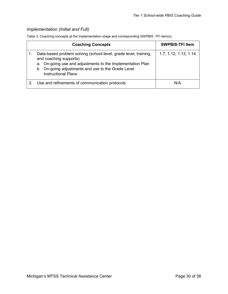### *Implementation (Initial and Full)*

Table 3. Coaching concepts at the Implementation stage and corresponding SWPBIS -TFI item(s)

| <b>Coaching Concepts</b>                                                                                                                                                                                                                     | <b>SWPBIS-TFI Item</b> |
|----------------------------------------------------------------------------------------------------------------------------------------------------------------------------------------------------------------------------------------------|------------------------|
| Data-based problem solving (school-level, grade level, training,<br>and coaching supports)<br>a. On-going use and adjustments to the Implementation Plan<br>b. On-going adjustments and use to the Grade Level<br><b>Instructional Plans</b> | 1.7, 1.12, 1.13, 1.14  |
| Use and refinements of communication protocols                                                                                                                                                                                               | N/A                    |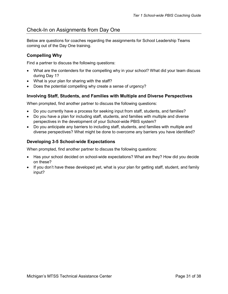### <span id="page-30-0"></span>Check-In on Assignments from Day One

Below are questions for coaches regarding the assignments for School Leadership Teams coming out of the Day One training.

### <span id="page-30-1"></span>**Compelling Why**

Find a partner to discuss the following questions:

- What are the contenders for the compelling why in your school? What did your team discuss during Day 1?
- What is your plan for sharing with the staff?
- Does the potential compelling why create a sense of urgency?

### <span id="page-30-2"></span>**Involving Staff, Students, and Families with Multiple and Diverse Perspectives**

When prompted, find another partner to discuss the following questions:

- Do you currently have a process for seeking input from staff, students, and families?
- Do you have a plan for including staff, students, and families with multiple and diverse perspectives in the development of your School-wide PBIS system?
- Do you anticipate any barriers to including staff, students, and families with multiple and diverse perspectives? What might be done to overcome any barriers you have identified?

### <span id="page-30-3"></span>**Developing 3-5 School-wide Expectations**

When prompted, find another partner to discuss the following questions:

- Has your school decided on school-wide expectations? What are they? How did you decide on these?
- If you don't have these developed yet, what is your plan for getting staff, student, and family input?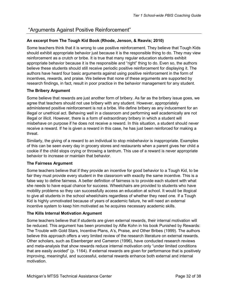### <span id="page-31-0"></span>"Arguments Against Positive Reinforcement"

### **An excerpt from The Tough Kid Book (Rhode, Jenson, & Reavis; 2010)**

Some teachers think that it is wrong to use positive reinforcement. They believe that Tough Kids should exhibit appropriate behavior just because it is the responsible thing to do. They may view reinforcement as a crutch or bribe. It is true that many regular education students exhibit appropriate behavior because it is the responsible and "right" thing to do. Even so, the authors believe these students should still receive periodic positive reinforcement for displaying it. The authors have heard four basic arguments against using positive reinforcement in the form of incentives, rewards, and praise. We believe that none of these arguments are supported by research findings, in fact, result in poor practice in the behavior management for any student.

#### **The Bribery Argument**

Some believe that rewards are just another form of bribery. As far as the bribery issue goes, we agree that teachers should not use bribery with any student. However, appropriately administered positive reinforcement is not a bribe. We define bribery as any inducement for an illegal or unethical act. Behaving well in a classroom and performing well academically are not illegal or illicit. However, there is a form of extraordinary bribery in which a student will misbehave on purpose if he does not receive a reward. In this situation, a student should never receive a reward. If he is given a reward in this case, he has just been reinforced for making a threat.

Similarly, the giving of a reward to an individual to stop misbehavior is inappropriate. Examples of this can be seen every day in grocery stores and restaurants when a parent gives her child a cookie if the child stops crying or throwing a tantrum. This use of a reward is never appropriate behavior to increase or maintain that behavior.

### **The Fairness Argument**

Some teachers believe that if they provide an incentive for good behavior to a Tough Kid, to be fair they must provide every student in the classroom with exactly the same incentive. This is a false way to define fairness. A better definition of fairness is to provide each student with what she needs to have equal chance for success. Wheelchairs are provided to students who have mobility problems so they can successfully access an education at school. It would be illogical to give all students in the school wheelchairs regardless of whether they need one. If a Tough Kid is highly unmotivated because of years of academic failure, he will need an external incentive system to keep him motivated as he acquires necessary academic skills.

### **The Kills Internal Motivation Argument**

Some teachers believe that if students are given external rewards, their internal motivation will be reduced. This argument has been promoted by Alfie Kohn in his book Punished by Rewards: The Trouble with Gold Stars, Incentive Plans, A's, Praise, and Other Bribes (1999). The authors believe this approach offers a very limited review of the research literature on external rewards. Other scholars, such as Eisenberger and Cameron (1996), have conducted research reviews and meta-analysis that show rewards reduce internal motivation only "under limited conditions that are easily avoided" (p. 1164). If external rewards are given for performance that is positively improving, meaningful, and successful, external rewards enhance both external and internal motivation.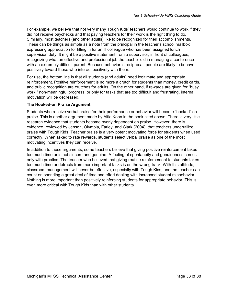For example, we believe that not very many Tough Kids' teachers would continue to work if they did not receive paychecks and that paying teachers for their work is the right thing to do. Similarly, most teachers (and other adults) like to be recognized for their accomplishments. These can be things as simple as a note from the principal in the teacher's school mailbox expressing appreciation for filling in for an ill colleague who has been assigned lunch supervision duty. It might be a positive statement from a supervisor, in front of colleagues, recognizing what an effective and professional job the teacher did in managing a conference with an extremely difficult parent. Because behavior is reciprocal, people are likely to behave positively toward those who interact positively with them.

For use, the bottom line is that all students (and adults) need legitimate and appropriate reinforcement. Positive reinforcement is no more a crutch for students than money, credit cards, and public recognition are crutches for adults. On the other hand, if rewards are given for "busy work," non-meaningful progress, or only for tasks that are too difficult and frustrating, internal motivation will be decreased.

#### **The Hooked-on Praise Argument**

Students who receive verbal praise for their performance or behavior will become "hooked" on praise. This is another argument made by Alfie Kohn in the book cited above. There is very little research evidence that students become overly dependent on praise. However, there is evidence, reviewed by Jenson, Olympia, Farley, and Clark (2004), that teachers underutilize praise with Tough Kids. Teacher praise is a very potent motivating force for students when used correctly. When asked to rate rewards, students select verbal praise as one of the most motivating incentives they can receive.

In addition to these arguments, some teachers believe that giving positive reinforcement takes too much time or is not sincere and genuine. A feeling of spontaneity and genuineness comes only with practice. The teacher who believed that giving routine reinforcement to students takes too much time or detracts from more important tasks is on the wrong track. With this attitude, classroom management will never be effective, especially with Tough Kids, and the teacher can count on spending a great deal of time and effort dealing with increased student misbehavior. Nothing is more important than positively reinforcing students for appropriate behavior! This is even more critical with Tough Kids than with other students.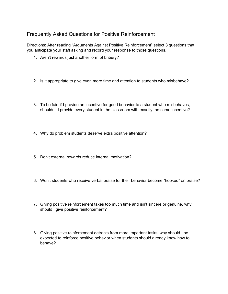### <span id="page-33-0"></span>Frequently Asked Questions for Positive Reinforcement

Directions: After reading "Arguments Against Positive Reinforcement" select 3 questions that you anticipate your staff asking and record your response to those questions.

- 1. Aren't rewards just another form of bribery?
- 2. Is it appropriate to give even more time and attention to students who misbehave?
- 3. To be fair, if I provide an incentive for good behavior to a student who misbehaves, shouldn't I provide every student in the classroom with exactly the same incentive?
- 4. Why do problem students deserve extra positive attention?
- 5. Don't external rewards reduce internal motivation?
- 6. Won't students who receive verbal praise for their behavior become "hooked" on praise?
- 7. Giving positive reinforcement takes too much time and isn't sincere or genuine, why should I give positive reinforcement?
- 8. Giving positive reinforcement detracts from more important tasks, why should I be expected to reinforce positive behavior when students should already know how to behave?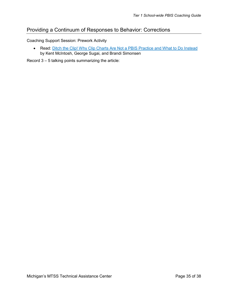### <span id="page-34-0"></span>Providing a Continuum of Responses to Behavior: Corrections

Coaching Support Session: Prework Activity

• Read: [Ditch the Clip! Why Clip Charts Are Not a PBIS Practice and What to Do Instead](https://www.pbis.org/resource/ditch-the-clip-why-clip-charts-are-not-a-pbis-practice-and-what-to-do-instead) by Kent McIntosh, George Sugai, and Brandi Simonsen

Record 3 – 5 talking points summarizing the article: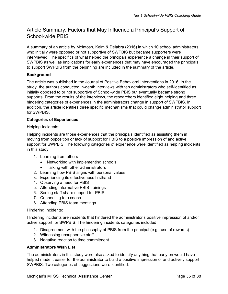### <span id="page-35-0"></span>Article Summary: Factors that May Influence a Principal's Support of School-wide PBIS

A summary of an article by McIntosh, Kelm & Delabra (2016) in which 10 school administrators who initially were opposed or not supportive of SWPBIS but became supporters were interviewed. The specifics of what helped the principals experience a change in their support of SWPBIS as well as implications for early experiences that may have encouraged the principals to support SWPBIS from the beginning are included in the summary of the article.

### **Background**

The article was published in the Journal of Positive Behavioral Interventions in 2016. In the study, the authors conducted in-depth interviews with ten administrators who self-identified as initially opposed to or not supportive of School-wide PBIS but eventually became strong supports. From the results of the interviews, the researchers identified eight helping and three hindering categories of experiences in the administrators change in support of SWPBIS. In addition, the article identifies three specific mechanisms that could change administrator support for SWPBIS.

### **Categories of Experiences**

Helping Incidents:

Helping incidents are those experiences that the principals identified as assisting them in moving from opposition or lack of support for PBIS to a positive impression of and active support for SWPBIS. The following categories of experience were identified as helping incidents in this study:

- 1. Learning from others
	- Networking with implementing schools
	- Talking with other administrators
- 2. Learning how PBIS aligns with personal values
- 3. Experiencing its effectiveness firsthand
- 4. Observing a need for PBIS
- 5. Attending informative PBIS trainings
- 6. Seeing staff share support for PBIS
- 7. Connecting to a coach
- 8. Attending PBIS team meetings

#### Hindering Incidents:

Hindering incidents are incidents that hindered the administrator's positive impression of and/or active support for SWPBIS. The hindering incidents categories included:

- 1. Disagreement with the philosophy of PBIS from the principal (e.g., use of rewards)
- 2. Witnessing unsupportive staff
- 3. Negative reaction to time commitment

#### **Administrators Wish List**

The administrators in this study were also asked to identify anything that early on would have helped made it easier for the administrator to build a positive impression of and actively support SWPBIS. Two categories of suggestions were identified: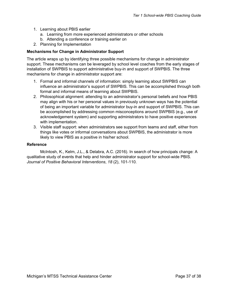- 1. Learning about PBIS earlier
	- a. Learning from more experienced administrators or other schools
	- b. Attending a conference or training earlier on
- 2. Planning for Implementation

#### **Mechanisms for Change in Administrator Support**

The article wraps up by identifying three possible mechanisms for change in administrator support. These mechanisms can be leveraged by school level coaches from the early stages of installation of SWPBIS to support administrative buy-in and support of SWPBIS. The three mechanisms for change in administrator support are:

- 1. Formal and informal channels of information: simply learning about SWPBIS can influence an administrator's support of SWPBIS. This can be accomplished through both formal and informal means of learning about SWPBIS.
- 2. Philosophical alignment: attending to an administrator's personal beliefs and how PBIS may align with his or her personal values in previously unknown ways has the potential of being an important variable for administrator buy-in and support of SWPBIS. This can be accomplished by addressing common misconceptions around SWPBIS (e.g., use of acknowledgement system) and supporting administrators to have positive experiences with implementation.
- 3. Visible staff support: when administrators see support from teams and staff, either from things like votes or informal conversations about SWPBIS, the administrator is more likely to view PBIS as a positive in his/her school.

#### **Reference**

McIntosh, K., Kelm, J.L., & Delabra, A.C. (2016). In search of how principals change: A qualitative study of events that help and hinder administrator support for school-wide PBIS*. Journal of Positive Behavioral Interventions*, *18* (2), 101-110.